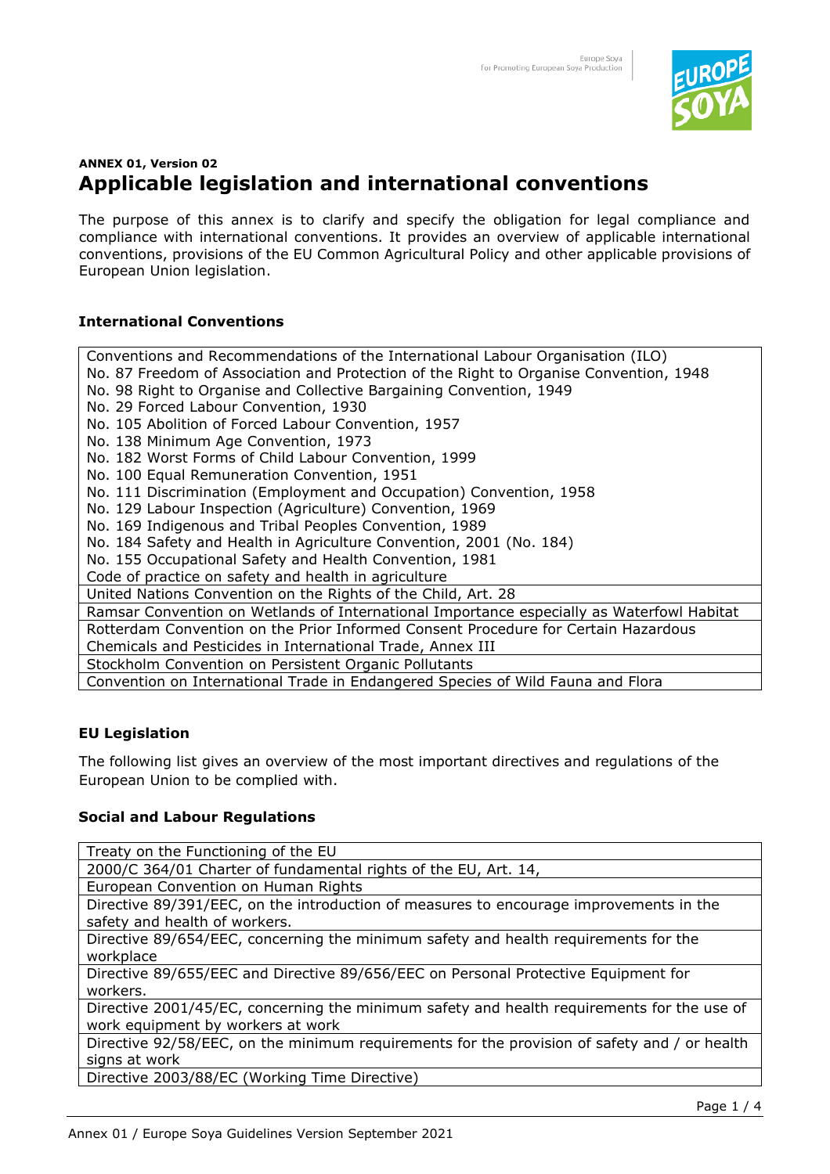

# **ANNEX 01, Version 02 Applicable legislation and international conventions**

The purpose of this annex is to clarify and specify the obligation for legal compliance and compliance with international conventions. It provides an overview of applicable international conventions, provisions of the EU Common Agricultural Policy and other applicable provisions of European Union legislation.

# **International Conventions**

Conventions and Recommendations of the International Labour Organisation (ILO) No. 87 Freedom of Association and Protection of the Right to Organise Convention, 1948 No. 98 Right to Organise and Collective Bargaining Convention, 1949 No. 29 Forced Labour Convention, 1930 No. 105 Abolition of Forced Labour Convention, 1957 No. 138 Minimum Age Convention, 1973 No. 182 Worst Forms of Child Labour Convention, 1999 No. 100 Equal Remuneration Convention, 1951 No. 111 Discrimination (Employment and Occupation) Convention, 1958 No. 129 Labour Inspection (Agriculture) Convention, 1969 No. 169 Indigenous and Tribal Peoples Convention, 1989 No. 184 Safety and Health in Agriculture Convention, 2001 (No. 184) No. 155 Occupational Safety and Health Convention, 1981 Code of practice on safety and health in agriculture United Nations Convention on the Rights of the Child, Art. 28 Ramsar Convention on Wetlands of International Importance especially as Waterfowl Habitat Rotterdam Convention on the Prior Informed Consent Procedure for Certain Hazardous Chemicals and Pesticides in International Trade, Annex III Stockholm Convention on Persistent Organic Pollutants Convention on International Trade in Endangered Species of Wild Fauna and Flora

# **EU Legislation**

The following list gives an overview of the most important directives and regulations of the European Union to be complied with.

# **Social and Labour Regulations**

Treaty on the Functioning of the EU

2000/C 364/01 Charter of fundamental rights of the EU, Art. 14,

European Convention on Human Rights

Directive 89/391/EEC, on the introduction of measures to encourage improvements in the safety and health of workers.

Directive 89/654/EEC, concerning the minimum safety and health requirements for the workplace

Directive 89/655/EEC and Directive 89/656/EEC on Personal Protective Equipment for workers.

Directive 2001/45/EC, concerning the minimum safety and health requirements for the use of work equipment by workers at work

Directive 92/58/EEC, on the minimum requirements for the provision of safety and / or health signs at work

Directive 2003/88/EC (Working Time Directive)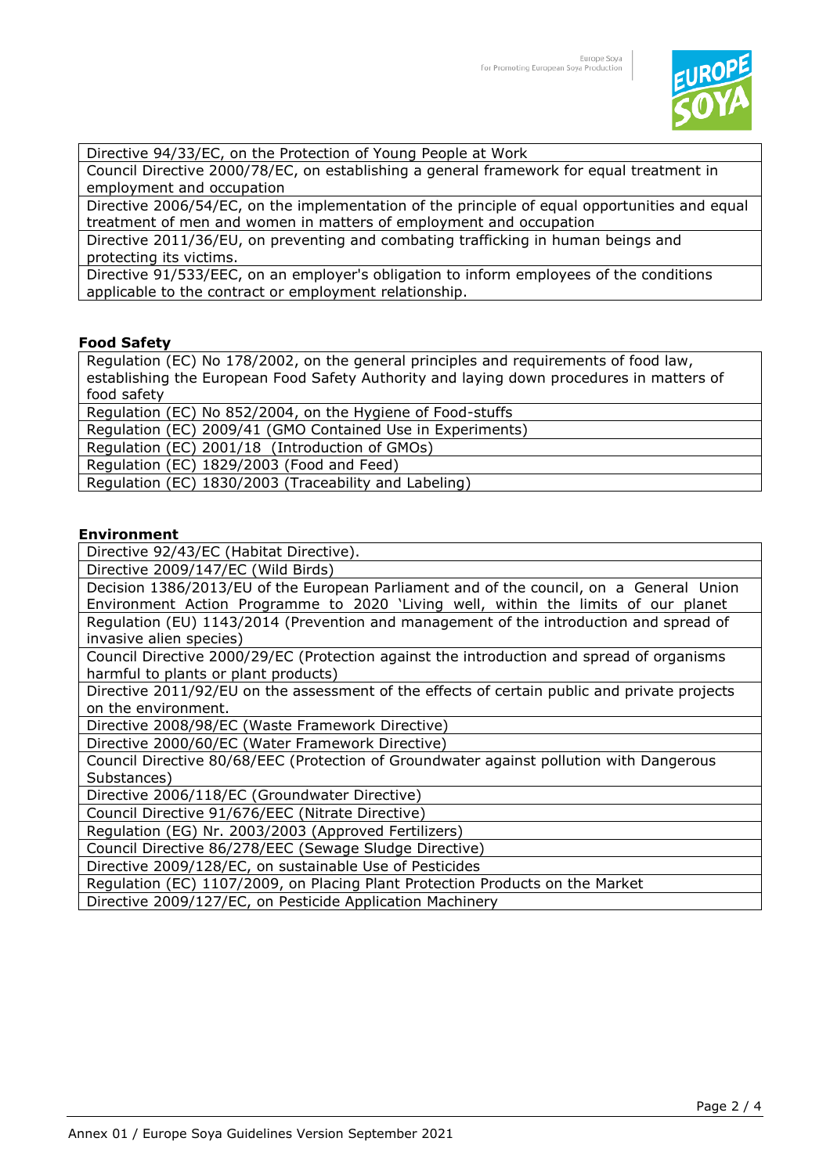

Directive 94/33/EC, on the Protection of Young People at Work

Council Directive 2000/78/EC, on establishing a general framework for equal treatment in employment and occupation

Directive 2006/54/EC, on the implementation of the principle of equal opportunities and equal treatment of men and women in matters of employment and occupation

Directive 2011/36/EU, on preventing and combating trafficking in human beings and protecting its victims.

Directive 91/533/EEC, on an employer's obligation to inform employees of the conditions applicable to the contract or employment relationship.

#### **Food Safety**

Regulation (EC) No 178/2002, on the general principles and requirements of food law, establishing the European Food Safety Authority and laying down procedures in matters of food safety

Regulation (EC) No 852/2004, on the Hygiene of Food-stuffs

Regulation (EC) 2009/41 (GMO Contained Use in Experiments)

Regulation (EC) 2001/18 (Introduction of GMOs)

Regulation (EC) 1829/2003 (Food and Feed)

Regulation (EC) 1830/2003 (Traceability and Labeling)

#### **Environment**

Directive 92/43/EC (Habitat Directive).

Directive 2009/147/EC (Wild Birds)

Decision 1386/2013/EU of the European Parliament and of the council, on a General Union Environment Action Programme to 2020 'Living well, within the limits of our planet Regulation (EU) 1143/2014 (Prevention and management of the introduction and spread of invasive alien species)

Council Directive 2000/29/EC (Protection against the introduction and spread of organisms harmful to plants or plant products)

Directive 2011/92/EU on the assessment of the effects of certain public and private projects on the environment.

Directive 2008/98/EC (Waste Framework Directive)

Directive 2000/60/EC (Water Framework Directive)

Council Directive 80/68/EEC (Protection of Groundwater against pollution with Dangerous Substances)

Directive 2006/118/EC (Groundwater Directive)

Council Directive 91/676/EEC (Nitrate Directive)

Regulation (EG) Nr. 2003/2003 (Approved Fertilizers)

Council Directive 86/278/EEC (Sewage Sludge Directive)

Directive 2009/128/EC, on sustainable Use of Pesticides

Regulation (EC) 1107/2009, on Placing Plant Protection Products on the Market

Directive 2009/127/EC, on Pesticide Application Machinery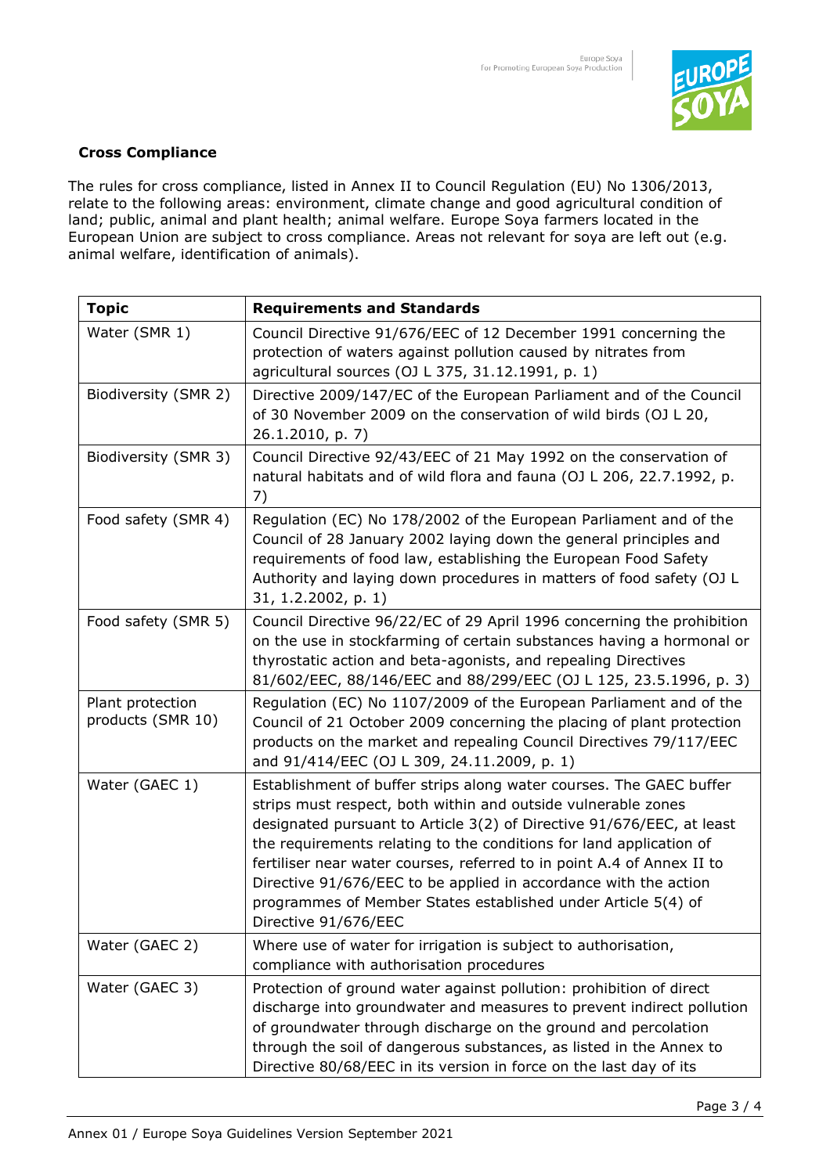

### **Cross Compliance**

The rules for cross compliance, listed in Annex II to Council Regulation (EU) No 1306/2013, relate to the following areas: environment, climate change and good agricultural condition of land; public, animal and plant health; animal welfare. Europe Soya farmers located in the European Union are subject to cross compliance. Areas not relevant for soya are left out (e.g. animal welfare, identification of animals).

| <b>Topic</b>                          | <b>Requirements and Standards</b>                                                                                                                                                                                                                                                                                                                                                                                                                                                                                           |
|---------------------------------------|-----------------------------------------------------------------------------------------------------------------------------------------------------------------------------------------------------------------------------------------------------------------------------------------------------------------------------------------------------------------------------------------------------------------------------------------------------------------------------------------------------------------------------|
| Water (SMR 1)                         | Council Directive 91/676/EEC of 12 December 1991 concerning the<br>protection of waters against pollution caused by nitrates from<br>agricultural sources (OJ L 375, 31.12.1991, p. 1)                                                                                                                                                                                                                                                                                                                                      |
| Biodiversity (SMR 2)                  | Directive 2009/147/EC of the European Parliament and of the Council<br>of 30 November 2009 on the conservation of wild birds (OJ L 20,<br>26.1.2010, p. 7)                                                                                                                                                                                                                                                                                                                                                                  |
| Biodiversity (SMR 3)                  | Council Directive 92/43/EEC of 21 May 1992 on the conservation of<br>natural habitats and of wild flora and fauna (OJ L 206, 22.7.1992, p.<br>7)                                                                                                                                                                                                                                                                                                                                                                            |
| Food safety (SMR 4)                   | Regulation (EC) No 178/2002 of the European Parliament and of the<br>Council of 28 January 2002 laying down the general principles and<br>requirements of food law, establishing the European Food Safety<br>Authority and laying down procedures in matters of food safety (OJ L<br>31, 1.2.2002, p. 1)                                                                                                                                                                                                                    |
| Food safety (SMR 5)                   | Council Directive 96/22/EC of 29 April 1996 concerning the prohibition<br>on the use in stockfarming of certain substances having a hormonal or<br>thyrostatic action and beta-agonists, and repealing Directives<br>81/602/EEC, 88/146/EEC and 88/299/EEC (OJ L 125, 23.5.1996, p. 3)                                                                                                                                                                                                                                      |
| Plant protection<br>products (SMR 10) | Regulation (EC) No 1107/2009 of the European Parliament and of the<br>Council of 21 October 2009 concerning the placing of plant protection<br>products on the market and repealing Council Directives 79/117/EEC<br>and 91/414/EEC (OJ L 309, 24.11.2009, p. 1)                                                                                                                                                                                                                                                            |
| Water (GAEC 1)                        | Establishment of buffer strips along water courses. The GAEC buffer<br>strips must respect, both within and outside vulnerable zones<br>designated pursuant to Article 3(2) of Directive 91/676/EEC, at least<br>the requirements relating to the conditions for land application of<br>fertiliser near water courses, referred to in point A.4 of Annex II to<br>Directive 91/676/EEC to be applied in accordance with the action<br>programmes of Member States established under Article 5(4) of<br>Directive 91/676/EEC |
| Water (GAEC 2)                        | Where use of water for irrigation is subject to authorisation,<br>compliance with authorisation procedures                                                                                                                                                                                                                                                                                                                                                                                                                  |
| Water (GAEC 3)                        | Protection of ground water against pollution: prohibition of direct<br>discharge into groundwater and measures to prevent indirect pollution<br>of groundwater through discharge on the ground and percolation<br>through the soil of dangerous substances, as listed in the Annex to<br>Directive 80/68/EEC in its version in force on the last day of its                                                                                                                                                                 |